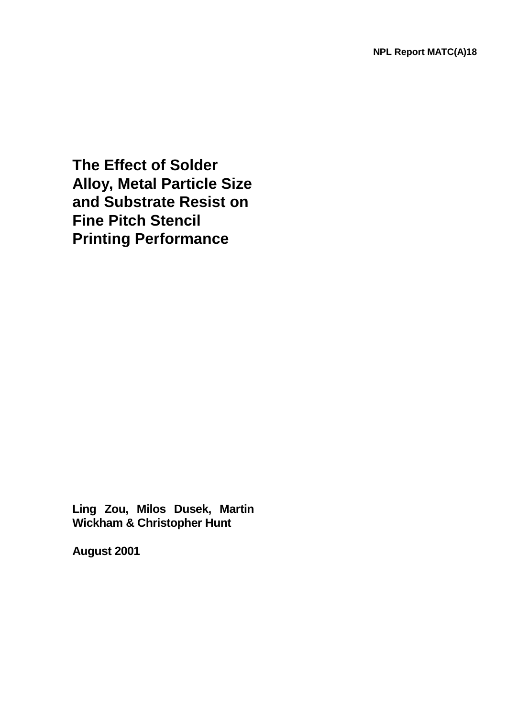**The Effect of Solder Alloy, Metal Particle Size and Substrate Resist on Fine Pitch Stencil Printing Performance** 

**Ling Zou, Milos Dusek, Martin Wickham & Christopher Hunt** 

**August 2001**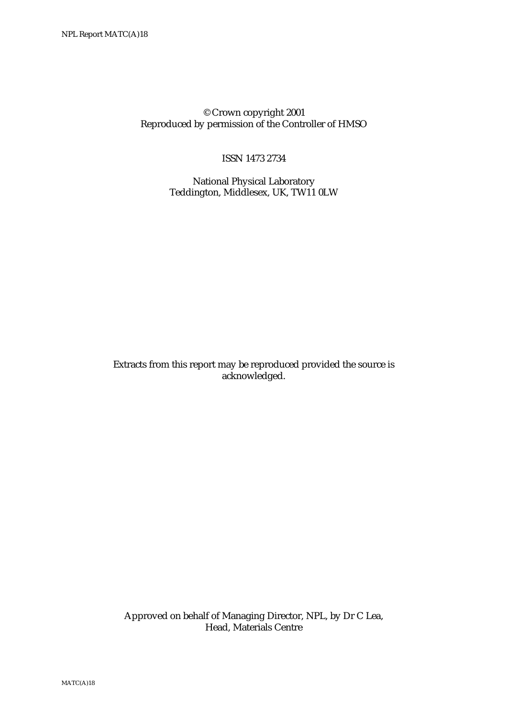© Crown copyright 2001 Reproduced by permission of the Controller of HMSO

ISSN 1473 2734

 National Physical Laboratory Teddington, Middlesex, UK, TW11 0LW

Extracts from this report may be reproduced provided the source is acknowledged.

 Approved on behalf of Managing Director, NPL, by Dr C Lea, Head, Materials Centre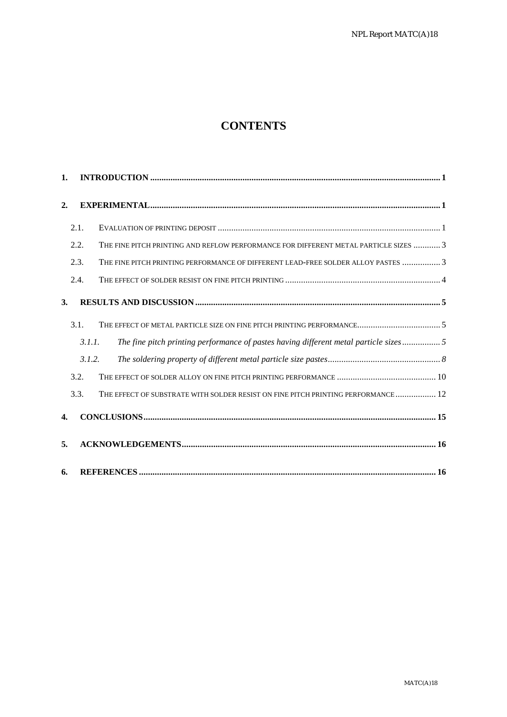# **CONTENTS**

| 1.               |        |                                                                                       |
|------------------|--------|---------------------------------------------------------------------------------------|
| $\overline{2}$ . |        |                                                                                       |
|                  | 2.1.   |                                                                                       |
|                  | 2.2.   | THE FINE PITCH PRINTING AND REFLOW PERFORMANCE FOR DIFFERENT METAL PARTICLE SIZES  3  |
|                  | 2.3.   | THE FINE PITCH PRINTING PERFORMANCE OF DIFFERENT LEAD-FREE SOLDER ALLOY PASTES 3      |
|                  | 2.4.   |                                                                                       |
| 3.               |        |                                                                                       |
|                  | 3.1.   |                                                                                       |
|                  | 3.1.1. | The fine pitch printing performance of pastes having different metal particle sizes 5 |
|                  | 3.1.2. |                                                                                       |
|                  | 3.2.   |                                                                                       |
|                  | 3.3.   | THE EFFECT OF SUBSTRATE WITH SOLDER RESIST ON FINE PITCH PRINTING PERFORMANCE  12     |
| 4.               |        |                                                                                       |
| 5.               |        |                                                                                       |
| 6.               |        |                                                                                       |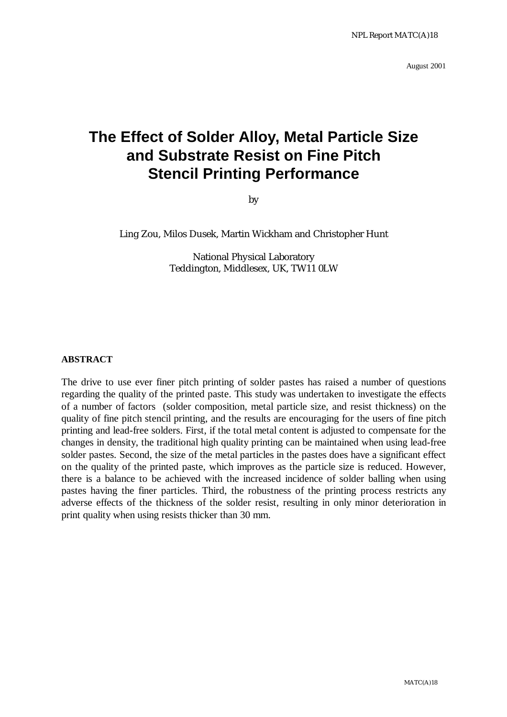August 2001

# **The Effect of Solder Alloy, Metal Particle Size and Substrate Resist on Fine Pitch Stencil Printing Performance**

by

Ling Zou, Milos Dusek, Martin Wickham and Christopher Hunt

National Physical Laboratory Teddington, Middlesex, UK, TW11 0LW

#### **ABSTRACT**

The drive to use ever finer pitch printing of solder pastes has raised a number of questions regarding the quality of the printed paste. This study was undertaken to investigate the effects of a number of factors (solder composition, metal particle size, and resist thickness) on the quality of fine pitch stencil printing, and the results are encouraging for the users of fine pitch printing and lead-free solders. First, if the total metal content is adjusted to compensate for the changes in density, the traditional high quality printing can be maintained when using lead-free solder pastes. Second, the size of the metal particles in the pastes does have a significant effect on the quality of the printed paste, which improves as the particle size is reduced. However, there is a balance to be achieved with the increased incidence of solder balling when using pastes having the finer particles. Third, the robustness of the printing process restricts any adverse effects of the thickness of the solder resist, resulting in only minor deterioration in print quality when using resists thicker than 30 mm.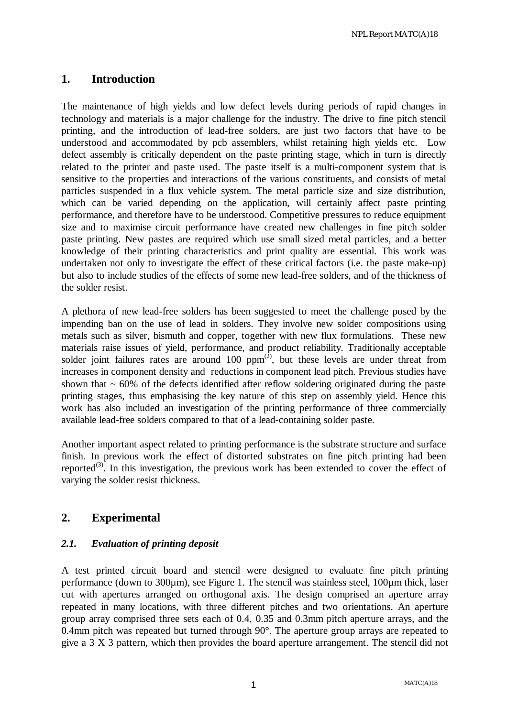# **1. Introduction**

The maintenance of high yields and low defect levels during periods of rapid changes in technology and materials is a major challenge for the industry. The drive to fine pitch stencil printing, and the introduction of lead-free solders, are just two factors that have to be understood and accommodated by pcb assemblers, whilst retaining high yields etc. Low defect assembly is critically dependent on the paste printing stage, which in turn is directly related to the printer and paste used. The paste itself is a multi-component system that is sensitive to the properties and interactions of the various constituents, and consists of metal particles suspended in a flux vehicle system. The metal particle size and size distribution, which can be varied depending on the application, will certainly affect paste printing performance, and therefore have to be understood. Competitive pressures to reduce equipment size and to maximise circuit performance have created new challenges in fine pitch solder paste printing. New pastes are required which use small sized metal particles, and a better knowledge of their printing characteristics and print quality are essential. This work was undertaken not only to investigate the effect of these critical factors (i.e. the paste make-up) but also to include studies of the effects of some new lead-free solders, and of the thickness of the solder resist.

A plethora of new lead-free solders has been suggested to meet the challenge posed by the impending ban on the use of lead in solders. They involve new solder compositions using metals such as silver, bismuth and copper, together with new flux formulations. These new materials raise issues of yield, performance, and product reliability. Traditionally acceptable solder joint failures rates are around 100  $ppm^{(2)}$ , but these levels are under threat from increases in component density and reductions in component lead pitch. Previous studies have shown that  $\sim 60\%$  of the defects identified after reflow soldering originated during the paste printing stages, thus emphasising the key nature of this step on assembly yield. Hence this work has also included an investigation of the printing performance of three commercially available lead-free solders compared to that of a lead-containing solder paste.

Another important aspect related to printing performance is the substrate structure and surface finish. In previous work the effect of distorted substrates on fine pitch printing had been reported<sup>(3)</sup>. In this investigation, the previous work has been extended to cover the effect of varying the solder resist thickness.

# **2. Experimental**

#### *2.1. Evaluation of printing deposit*

A test printed circuit board and stencil were designed to evaluate fine pitch printing performance (down to 300µm), see Figure 1. The stencil was stainless steel, 100µm thick, laser cut with apertures arranged on orthogonal axis. The design comprised an aperture array repeated in many locations, with three different pitches and two orientations. An aperture group array comprised three sets each of 0.4, 0.35 and 0.3mm pitch aperture arrays, and the 0.4mm pitch was repeated but turned through 90°. The aperture group arrays are repeated to give a 3 X 3 pattern, which then provides the board aperture arrangement. The stencil did not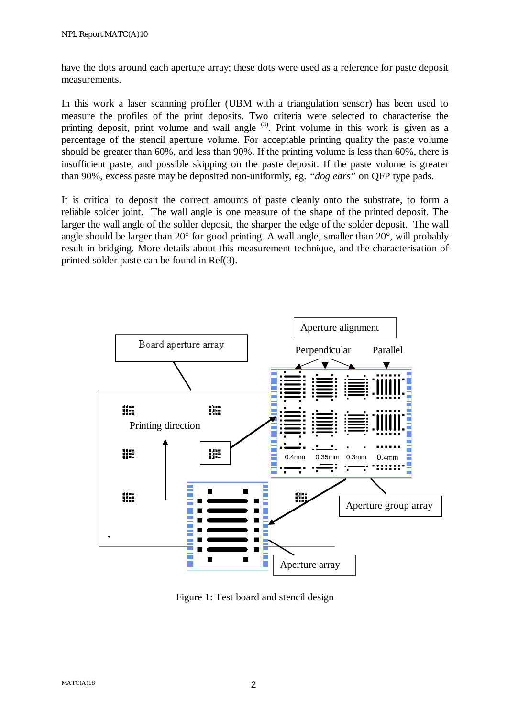have the dots around each aperture array; these dots were used as a reference for paste deposit measurements.

In this work a laser scanning profiler (UBM with a triangulation sensor) has been used to measure the profiles of the print deposits. Two criteria were selected to characterise the printing deposit, print volume and wall angle  $(3)$ . Print volume in this work is given as a percentage of the stencil aperture volume. For acceptable printing quality the paste volume should be greater than 60%, and less than 90%. If the printing volume is less than 60%, there is insufficient paste, and possible skipping on the paste deposit. If the paste volume is greater than 90%, excess paste may be deposited non-uniformly, eg. *"dog ears"* on QFP type pads.

It is critical to deposit the correct amounts of paste cleanly onto the substrate, to form a reliable solder joint. The wall angle is one measure of the shape of the printed deposit. The larger the wall angle of the solder deposit, the sharper the edge of the solder deposit. The wall angle should be larger than 20° for good printing. A wall angle, smaller than 20°, will probably result in bridging. More details about this measurement technique, and the characterisation of printed solder paste can be found in Ref(3).



Figure 1: Test board and stencil design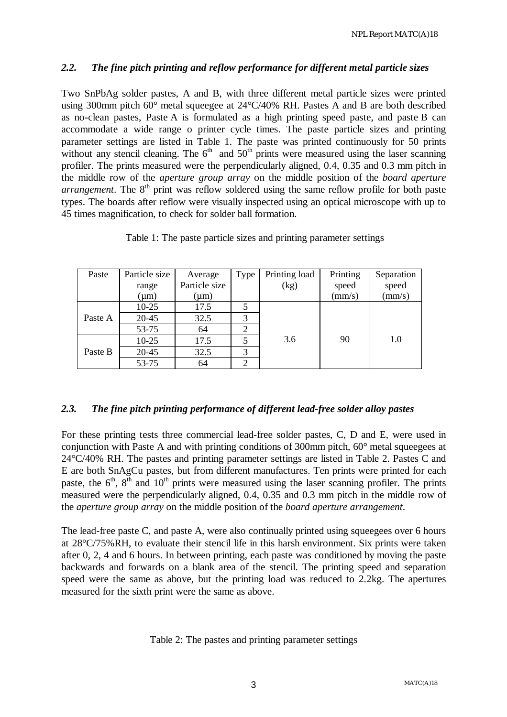#### *2.2. The fine pitch printing and reflow performance for different metal particle sizes*

Two SnPbAg solder pastes, A and B, with three different metal particle sizes were printed using 300mm pitch 60° metal squeegee at 24°C/40% RH. Pastes A and B are both described as no-clean pastes, Paste A is formulated as a high printing speed paste, and paste B can accommodate a wide range o printer cycle times. The paste particle sizes and printing parameter settings are listed in Table 1. The paste was printed continuously for 50 prints without any stencil cleaning. The  $6<sup>th</sup>$  and  $50<sup>th</sup>$  prints were measured using the laser scanning profiler. The prints measured were the perpendicularly aligned, 0.4, 0.35 and 0.3 mm pitch in the middle row of the *aperture group array* on the middle position of the *board aperture arrangement*. The 8<sup>th</sup> print was reflow soldered using the same reflow profile for both paste types. The boards after reflow were visually inspected using an optical microscope with up to 45 times magnification, to check for solder ball formation.

| Paste   | Particle size | Average       | Type | Printing load | Printing        | Separation |
|---------|---------------|---------------|------|---------------|-----------------|------------|
|         | range         | Particle size |      | (kg)          | speed           | speed      |
|         | $(\mu m)$     | $(\mu m)$     |      |               | $\text{(mm/s)}$ | (mm/s)     |
|         | $10-25$       | 17.5          |      |               |                 |            |
| Paste A | $20 - 45$     | 32.5          | 3    |               |                 |            |
|         | 53-75         | 64            |      |               |                 |            |
|         | $10-25$       | 17.5          |      | 3.6           | 90              | 1.0        |
| Paste B | $20 - 45$     | 32.5          | 3    |               |                 |            |
|         | 53-75         | 64            | 2    |               |                 |            |

Table 1: The paste particle sizes and printing parameter settings

# *2.3. The fine pitch printing performance of different lead-free solder alloy pastes*

For these printing tests three commercial lead-free solder pastes, C, D and E, were used in conjunction with Paste A and with printing conditions of 300mm pitch, 60° metal squeegees at 24°C/40% RH. The pastes and printing parameter settings are listed in Table 2. Pastes C and E are both SnAgCu pastes, but from different manufactures. Ten prints were printed for each paste, the  $6<sup>th</sup>$ ,  $8<sup>th</sup>$  and  $10<sup>th</sup>$  prints were measured using the laser scanning profiler. The prints measured were the perpendicularly aligned, 0.4, 0.35 and 0.3 mm pitch in the middle row of the *aperture group array* on the middle position of the *board aperture arrangement*.

The lead-free paste C, and paste A, were also continually printed using squeegees over 6 hours at 28°C/75%RH, to evaluate their stencil life in this harsh environment. Six prints were taken after 0, 2, 4 and 6 hours. In between printing, each paste was conditioned by moving the paste backwards and forwards on a blank area of the stencil. The printing speed and separation speed were the same as above, but the printing load was reduced to 2.2kg. The apertures measured for the sixth print were the same as above.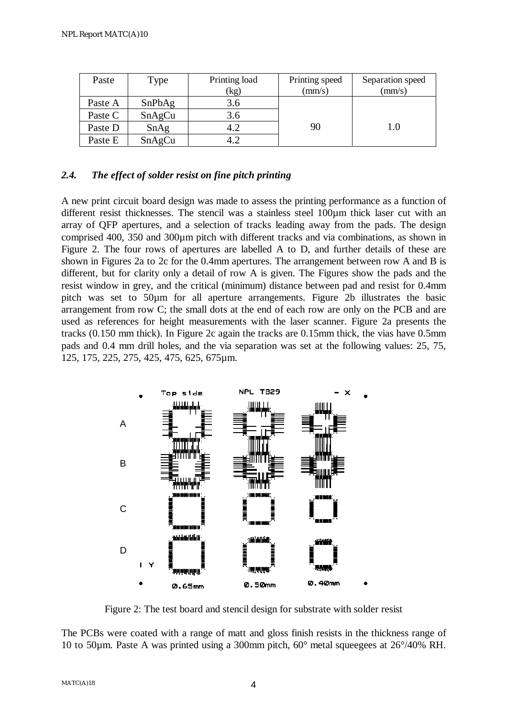| Paste   | Type   | Printing load | Printing speed | Separation speed |
|---------|--------|---------------|----------------|------------------|
|         |        | (kg)          | (mm/s)         | (mm/s)           |
| Paste A | SnPbAg | 3.6           |                |                  |
| Paste C | SnAgCu | 3.6           |                |                  |
| Paste D | SnAg   | 4.2           | 90             | $1.0\,$          |
| Paste E | SnAgCu | 4.2           |                |                  |

#### *2.4. The effect of solder resist on fine pitch printing*

A new print circuit board design was made to assess the printing performance as a function of different resist thicknesses. The stencil was a stainless steel 100µm thick laser cut with an array of QFP apertures, and a selection of tracks leading away from the pads. The design comprised 400, 350 and 300µm pitch with different tracks and via combinations, as shown in Figure 2. The four rows of apertures are labelled A to D, and further details of these are shown in Figures 2a to 2c for the 0.4mm apertures. The arrangement between row A and B is different, but for clarity only a detail of row A is given. The Figures show the pads and the resist window in grey, and the critical (minimum) distance between pad and resist for 0.4mm pitch was set to 50µm for all aperture arrangements. Figure 2b illustrates the basic arrangement from row C; the small dots at the end of each row are only on the PCB and are used as references for height measurements with the laser scanner. Figure 2a presents the tracks (0.150 mm thick). In Figure 2c again the tracks are 0.15mm thick, the vias have 0.5mm pads and 0.4 mm drill holes, and the via separation was set at the following values: 25, 75, 125, 175, 225, 275, 425, 475, 625, 675µm.



Figure 2: The test board and stencil design for substrate with solder resist

The PCBs were coated with a range of matt and gloss finish resists in the thickness range of 10 to 50µm. Paste A was printed using a 300mm pitch, 60° metal squeegees at 26°/40% RH.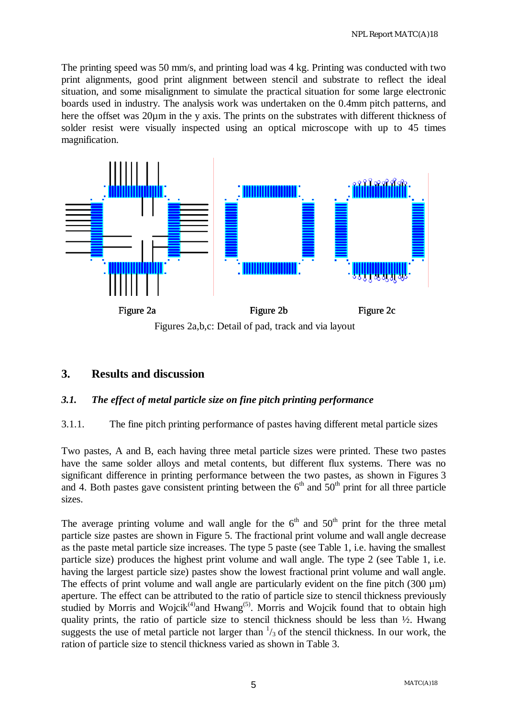The printing speed was 50 mm/s, and printing load was 4 kg. Printing was conducted with two print alignments, good print alignment between stencil and substrate to reflect the ideal situation, and some misalignment to simulate the practical situation for some large electronic boards used in industry. The analysis work was undertaken on the 0.4mm pitch patterns, and here the offset was 20µm in the y axis. The prints on the substrates with different thickness of solder resist were visually inspected using an optical microscope with up to 45 times magnification.



Figures 2a,b,c: Detail of pad, track and via layout

# **3. Results and discussion**

#### *3.1. The effect of metal particle size on fine pitch printing performance*

#### 3.1.1. The fine pitch printing performance of pastes having different metal particle sizes

Two pastes, A and B, each having three metal particle sizes were printed. These two pastes have the same solder alloys and metal contents, but different flux systems. There was no significant difference in printing performance between the two pastes, as shown in Figures 3 and 4. Both pastes gave consistent printing between the  $6<sup>th</sup>$  and  $50<sup>th</sup>$  print for all three particle sizes.

The average printing volume and wall angle for the  $6<sup>th</sup>$  and  $50<sup>th</sup>$  print for the three metal particle size pastes are shown in Figure 5. The fractional print volume and wall angle decrease as the paste metal particle size increases. The type 5 paste (see Table 1, i.e. having the smallest particle size) produces the highest print volume and wall angle. The type 2 (see Table 1, i.e. having the largest particle size) pastes show the lowest fractional print volume and wall angle. The effects of print volume and wall angle are particularly evident on the fine pitch  $(300 \mu m)$ aperture. The effect can be attributed to the ratio of particle size to stencil thickness previously studied by Morris and Wojcik<sup>(4)</sup>and Hwang<sup>(5)</sup>. Morris and Wojcik found that to obtain high quality prints, the ratio of particle size to stencil thickness should be less than  $\frac{1}{2}$ . Hwang suggests the use of metal particle not larger than  $\frac{1}{3}$  of the stencil thickness. In our work, the ration of particle size to stencil thickness varied as shown in Table 3.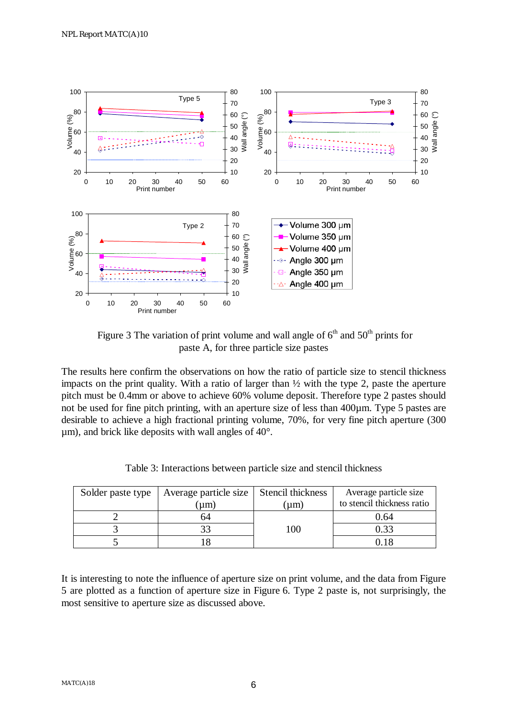

Figure 3 The variation of print volume and wall angle of  $6<sup>th</sup>$  and  $50<sup>th</sup>$  prints for paste A, for three particle size pastes

The results here confirm the observations on how the ratio of particle size to stencil thickness impacts on the print quality. With a ratio of larger than  $\frac{1}{2}$  with the type 2, paste the aperture pitch must be 0.4mm or above to achieve 60% volume deposit. Therefore type 2 pastes should not be used for fine pitch printing, with an aperture size of less than 400µm. Type 5 pastes are desirable to achieve a high fractional printing volume, 70%, for very fine pitch aperture (300  $\mu$ m), and brick like deposits with wall angles of 40 $^{\circ}$ .

| Solder paste type | Average particle size | Stencil thickness | Average particle size      |
|-------------------|-----------------------|-------------------|----------------------------|
|                   | um)                   | um)               | to stencil thickness ratio |
|                   |                       |                   | 0.64                       |
|                   |                       | $($ $)($          | 0.33                       |
|                   |                       |                   |                            |

Table 3: Interactions between particle size and stencil thickness

It is interesting to note the influence of aperture size on print volume, and the data from Figure 5 are plotted as a function of aperture size in Figure 6. Type 2 paste is, not surprisingly, the most sensitive to aperture size as discussed above.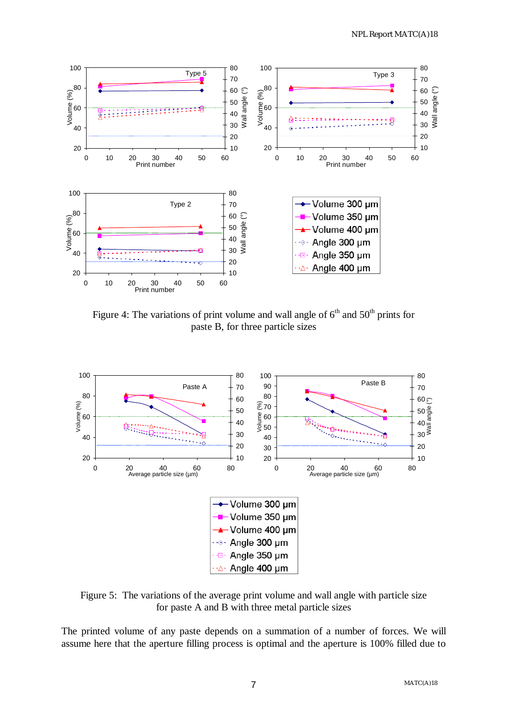

Figure 4: The variations of print volume and wall angle of  $6<sup>th</sup>$  and  $50<sup>th</sup>$  prints for paste B, for three particle sizes



Figure 5: The variations of the average print volume and wall angle with particle size for paste A and B with three metal particle sizes

The printed volume of any paste depends on a summation of a number of forces. We will assume here that the aperture filling process is optimal and the aperture is 100% filled due to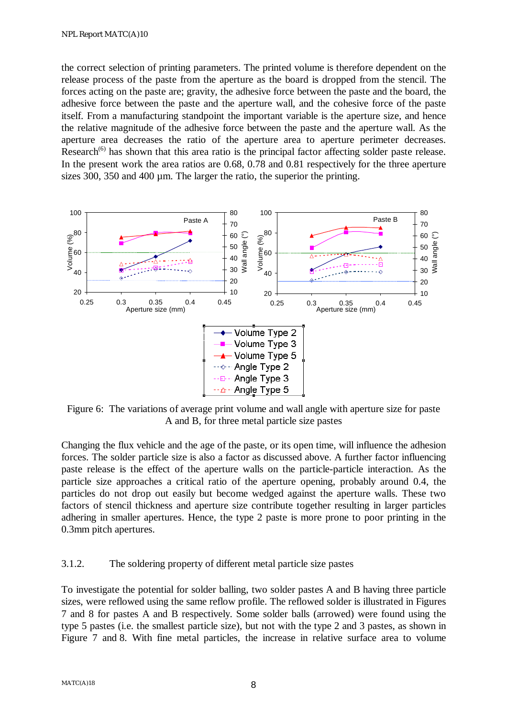the correct selection of printing parameters. The printed volume is therefore dependent on the release process of the paste from the aperture as the board is dropped from the stencil. The forces acting on the paste are; gravity, the adhesive force between the paste and the board, the adhesive force between the paste and the aperture wall, and the cohesive force of the paste itself. From a manufacturing standpoint the important variable is the aperture size, and hence the relative magnitude of the adhesive force between the paste and the aperture wall. As the aperture area decreases the ratio of the aperture area to aperture perimeter decreases. Research<sup> $(6)$ </sup> has shown that this area ratio is the principal factor affecting solder paste release. In the present work the area ratios are 0.68, 0.78 and 0.81 respectively for the three aperture sizes 300, 350 and 400 µm. The larger the ratio, the superior the printing.



Figure 6: The variations of average print volume and wall angle with aperture size for paste A and B, for three metal particle size pastes

Changing the flux vehicle and the age of the paste, or its open time, will influence the adhesion forces. The solder particle size is also a factor as discussed above. A further factor influencing paste release is the effect of the aperture walls on the particle-particle interaction. As the particle size approaches a critical ratio of the aperture opening, probably around 0.4, the particles do not drop out easily but become wedged against the aperture walls. These two factors of stencil thickness and aperture size contribute together resulting in larger particles adhering in smaller apertures. Hence, the type 2 paste is more prone to poor printing in the 0.3mm pitch apertures.

#### 3.1.2. The soldering property of different metal particle size pastes

To investigate the potential for solder balling, two solder pastes A and B having three particle sizes, were reflowed using the same reflow profile. The reflowed solder is illustrated in Figures 7 and 8 for pastes A and B respectively. Some solder balls (arrowed) were found using the type 5 pastes (i.e. the smallest particle size), but not with the type 2 and 3 pastes, as shown in Figure 7 and 8. With fine metal particles, the increase in relative surface area to volume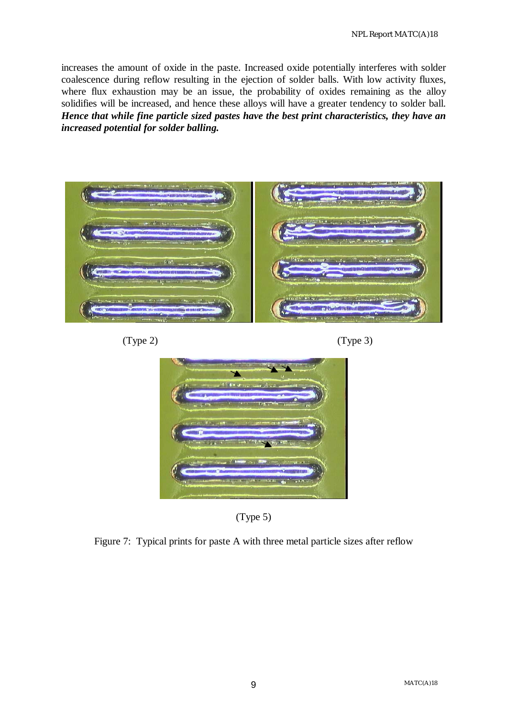increases the amount of oxide in the paste. Increased oxide potentially interferes with solder coalescence during reflow resulting in the ejection of solder balls. With low activity fluxes, where flux exhaustion may be an issue, the probability of oxides remaining as the alloy solidifies will be increased, and hence these alloys will have a greater tendency to solder ball. *Hence that while fine particle sized pastes have the best print characteristics, they have an increased potential for solder balling.* 









(Type 5)

Figure 7: Typical prints for paste A with three metal particle sizes after reflow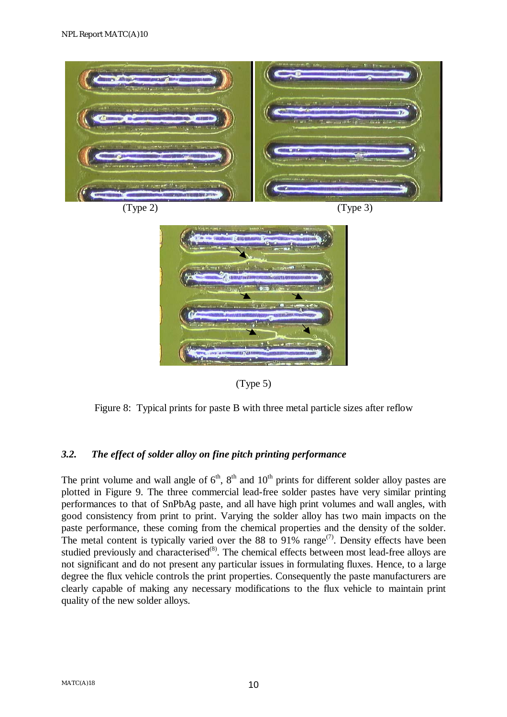

(Type 5)

Figure 8: Typical prints for paste B with three metal particle sizes after reflow

#### *3.2. The effect of solder alloy on fine pitch printing performance*

The print volume and wall angle of  $6<sup>th</sup>$ ,  $8<sup>th</sup>$  and  $10<sup>th</sup>$  prints for different solder alloy pastes are plotted in Figure 9. The three commercial lead-free solder pastes have very similar printing performances to that of SnPbAg paste, and all have high print volumes and wall angles, with good consistency from print to print. Varying the solder alloy has two main impacts on the paste performance, these coming from the chemical properties and the density of the solder. The metal content is typically varied over the 88 to 91% range<sup> $(7)$ </sup>. Density effects have been studied previously and characterised $^{(8)}$ . The chemical effects between most lead-free alloys are not significant and do not present any particular issues in formulating fluxes. Hence, to a large degree the flux vehicle controls the print properties. Consequently the paste manufacturers are clearly capable of making any necessary modifications to the flux vehicle to maintain print quality of the new solder alloys.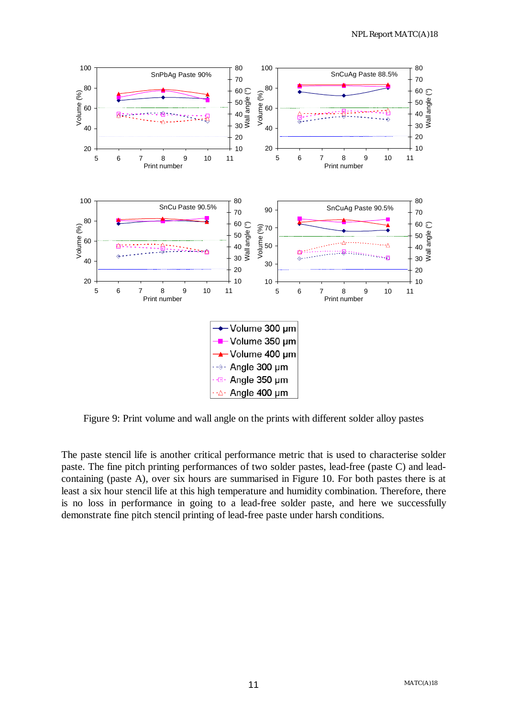

Figure 9: Print volume and wall angle on the prints with different solder alloy pastes

The paste stencil life is another critical performance metric that is used to characterise solder paste. The fine pitch printing performances of two solder pastes, lead-free (paste C) and leadcontaining (paste A), over six hours are summarised in Figure 10. For both pastes there is at least a six hour stencil life at this high temperature and humidity combination. Therefore, there is no loss in performance in going to a lead-free solder paste, and here we successfully demonstrate fine pitch stencil printing of lead-free paste under harsh conditions.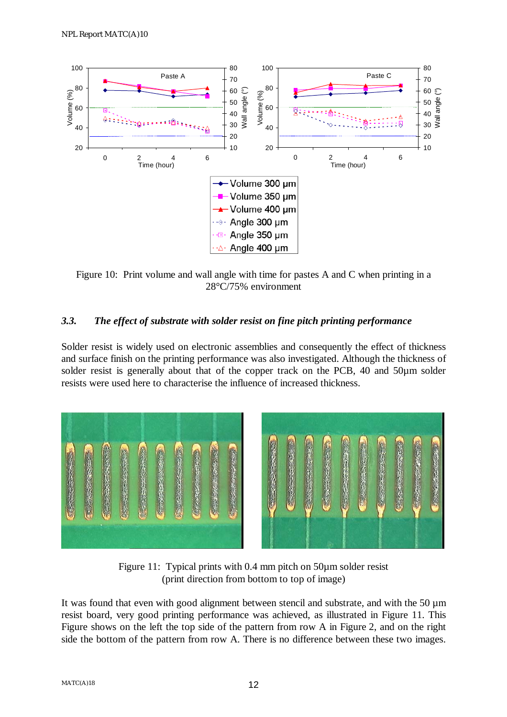

Figure 10: Print volume and wall angle with time for pastes A and C when printing in a 28°C/75% environment

#### *3.3. The effect of substrate with solder resist on fine pitch printing performance*

Solder resist is widely used on electronic assemblies and consequently the effect of thickness and surface finish on the printing performance was also investigated. Although the thickness of solder resist is generally about that of the copper track on the PCB, 40 and 50 $\mu$ m solder resists were used here to characterise the influence of increased thickness.



Figure 11: Typical prints with 0.4 mm pitch on 50 $\mu$ m solder resist (print direction from bottom to top of image)

It was found that even with good alignment between stencil and substrate, and with the 50 µm resist board, very good printing performance was achieved, as illustrated in Figure 11. This Figure shows on the left the top side of the pattern from row A in Figure 2, and on the right side the bottom of the pattern from row A. There is no difference between these two images.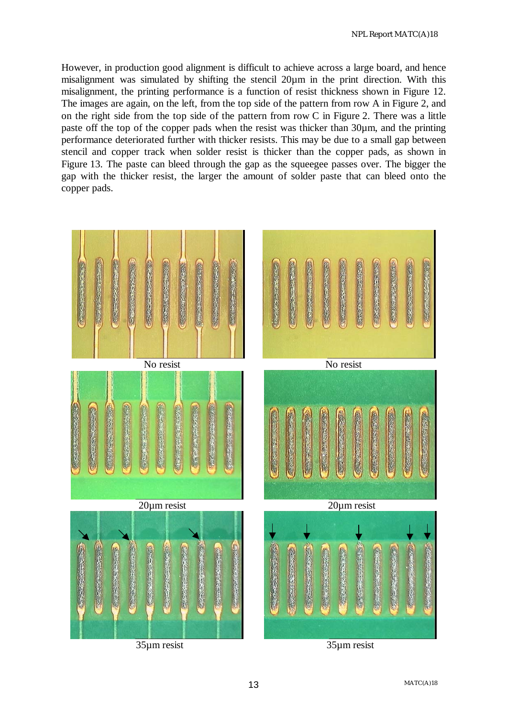However, in production good alignment is difficult to achieve across a large board, and hence misalignment was simulated by shifting the stencil 20µm in the print direction. With this misalignment, the printing performance is a function of resist thickness shown in Figure 12. The images are again, on the left, from the top side of the pattern from row A in Figure 2, and on the right side from the top side of the pattern from row C in Figure 2. There was a little paste off the top of the copper pads when the resist was thicker than 30µm, and the printing performance deteriorated further with thicker resists. This may be due to a small gap between stencil and copper track when solder resist is thicker than the copper pads, as shown in Figure 13. The paste can bleed through the gap as the squeegee passes over. The bigger the gap with the thicker resist, the larger the amount of solder paste that can bleed onto the copper pads.

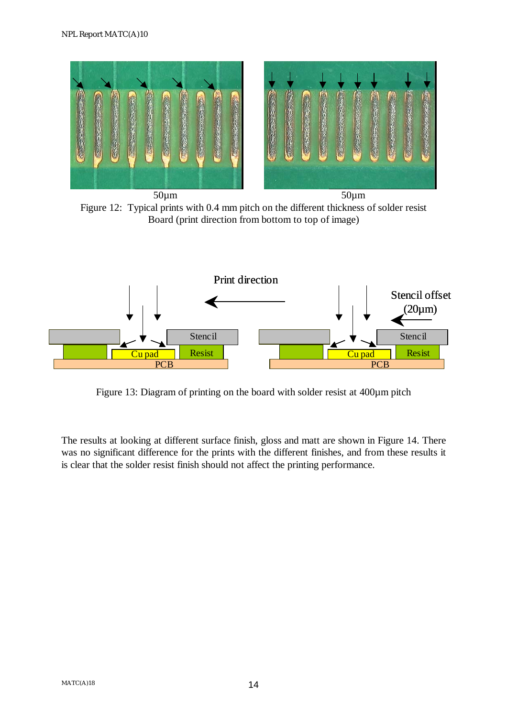

Figure 12: Typical prints with 0.4 mm pitch on the different thickness of solder resist Board (print direction from bottom to top of image)



Figure 13: Diagram of printing on the board with solder resist at 400µm pitch

The results at looking at different surface finish, gloss and matt are shown in Figure 14. There was no significant difference for the prints with the different finishes, and from these results it is clear that the solder resist finish should not affect the printing performance.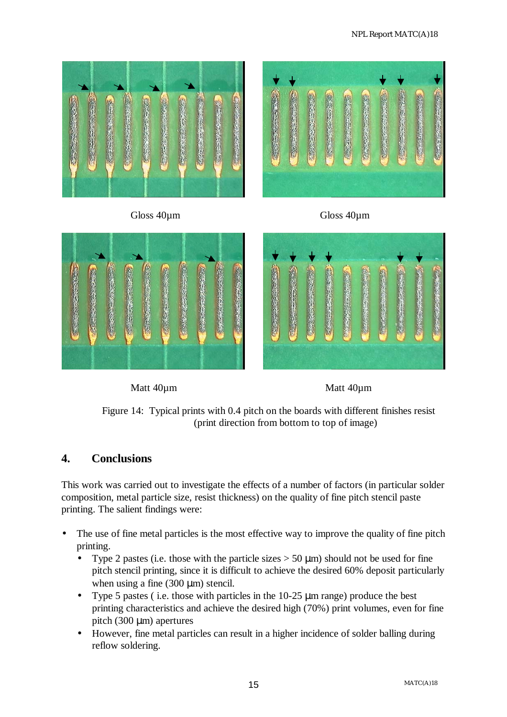



Figure 14: Typical prints with 0.4 pitch on the boards with different finishes resist (print direction from bottom to top of image)

 $\overline{\phantom{a}}$ 

#### **4. Conclusions**

This work was carried out to investigate the effects of a number of factors (in particular solder composition, metal particle size, resist thickness) on the quality of fine pitch stencil paste printing. The salient findings were:

- The use of fine metal particles is the most effective way to improve the quality of fine pitch printing.
	- Type 2 pastes (i.e. those with the particle sizes  $> 50 \mu m$ ) should not be used for fine pitch stencil printing, since it is difficult to achieve the desired 60% deposit particularly when using a fine  $(300 \mu m)$  stencil.
	- Type 5 pastes ( i.e. those with particles in the 10-25 µm range) produce the best printing characteristics and achieve the desired high (70%) print volumes, even for fine pitch  $(300 \mu m)$  apertures
	- However, fine metal particles can result in a higher incidence of solder balling during reflow soldering.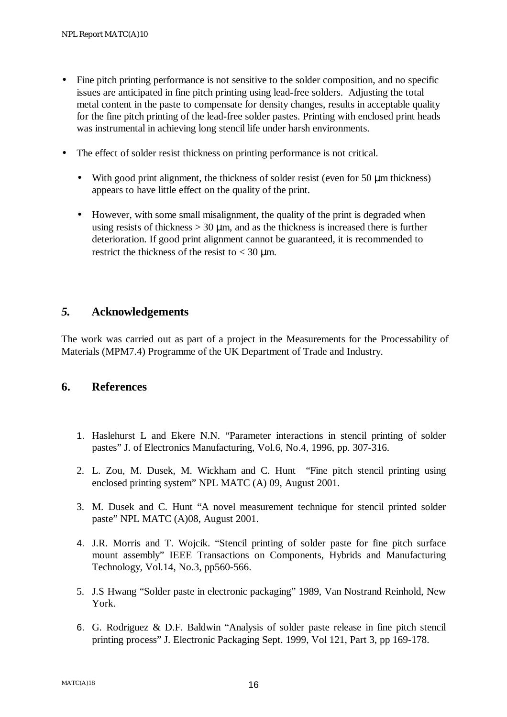- Fine pitch printing performance is not sensitive to the solder composition, and no specific issues are anticipated in fine pitch printing using lead-free solders. Adjusting the total metal content in the paste to compensate for density changes, results in acceptable quality for the fine pitch printing of the lead-free solder pastes. Printing with enclosed print heads was instrumental in achieving long stencil life under harsh environments.
- The effect of solder resist thickness on printing performance is not critical.
	- With good print alignment, the thickness of solder resist (even for 50  $\mu$ m thickness) appears to have little effect on the quality of the print.
	- However, with some small misalignment, the quality of the print is degraded when using resists of thickness  $> 30 \mu$ m, and as the thickness is increased there is further deterioration. If good print alignment cannot be guaranteed, it is recommended to restrict the thickness of the resist to  $<$  30  $\mu$ m.

#### *5.* **Acknowledgements**

The work was carried out as part of a project in the Measurements for the Processability of Materials (MPM7.4) Programme of the UK Department of Trade and Industry.

#### **6. References**

- 1. Haslehurst L and Ekere N.N. "Parameter interactions in stencil printing of solder pastes" J. of Electronics Manufacturing, Vol.6, No.4, 1996, pp. 307-316.
- 2. L. Zou, M. Dusek, M. Wickham and C. Hunt "Fine pitch stencil printing using enclosed printing system" NPL MATC (A) 09, August 2001.
- 3. M. Dusek and C. Hunt "A novel measurement technique for stencil printed solder paste" NPL MATC (A)08, August 2001.
- 4. J.R. Morris and T. Wojcik. "Stencil printing of solder paste for fine pitch surface mount assembly" IEEE Transactions on Components, Hybrids and Manufacturing Technology, Vol.14, No.3, pp560-566.
- 5. J.S Hwang "Solder paste in electronic packaging" 1989, Van Nostrand Reinhold, New York.
- 6. G. Rodriguez & D.F. Baldwin "Analysis of solder paste release in fine pitch stencil printing process" J. Electronic Packaging Sept. 1999, Vol 121, Part 3, pp 169-178.